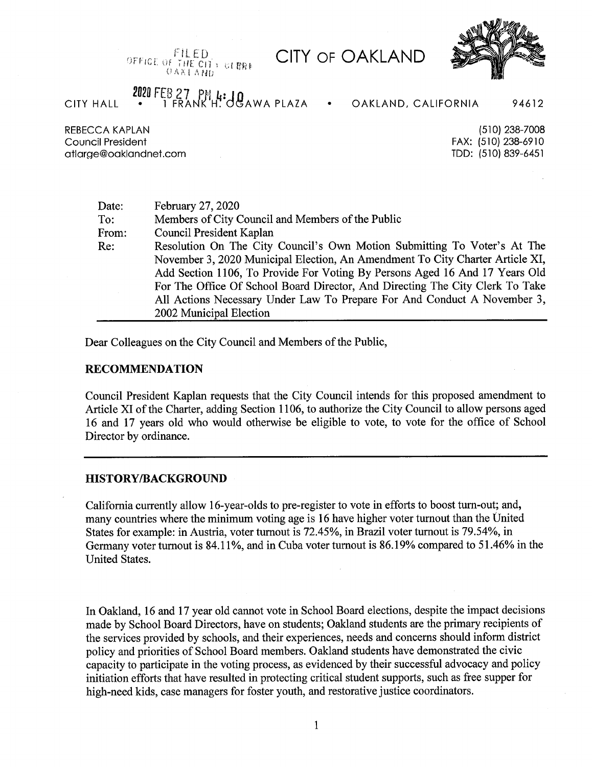FILED OFFICE OF THE CIT I CLERK *OAKLAND* 

# **CITY OF OAKLAND**



## 2020 FEB 27  $PM_4:$  JQ AWA PLAZA **CITY HALL**

OAKLAND, CALIFORNIA 94612

**REBECCA KAPLAN** Council President atlarge@oaklandnet.com

(510) 238-7008 FAX: (510) 238-6910 TDD: (510) 839-6451

| Date: | February 27, 2020                                                             |
|-------|-------------------------------------------------------------------------------|
| To:   | Members of City Council and Members of the Public                             |
| From: | Council President Kaplan                                                      |
| Re:   | Resolution On The City Council's Own Motion Submitting To Voter's At The      |
|       | November 3, 2020 Municipal Election, An Amendment To City Charter Article XI, |
|       | Add Section 1106, To Provide For Voting By Persons Aged 16 And 17 Years Old   |
|       | For The Office Of School Board Director, And Directing The City Clerk To Take |
|       | All Actions Necessary Under Law To Prepare For And Conduct A November 3,      |
|       | 2002 Municipal Election                                                       |

Dear Colleagues on the City Council and Members of the Public,

#### **RECOMMENDATION**

Council President Kaplan requests that the City Council intends for this proposed amendment to Article XI of the Charter, adding Section 1106, to authorize the City Council to allow persons aged 16 and 17 years old who would otherwise be eligible to vote, to vote for the office of School Director by ordinance.

#### **HISTORY/BACKGROUND**

California currently allow 16-year-olds to pre-register to vote in efforts to boost turn-out; and, many countries where the minimum voting age is 16 have higher voter turnout than the United States for example: in Austria, voter turnout is 72.45%, in Brazil voter turnout is 79.54%, in Germany voter turnout is 84.11%, and in Cuba voter turnout is 86.19% compared to 51.46% in the **United States.** 

In Oakland, 16 and 17 year old cannot vote in School Board elections, despite the impact decisions made by School Board Directors, have on students; Oakland students are the primary recipients of the services provided by schools, and their experiences, needs and concerns should inform district policy and priorities of School Board members. Oakland students have demonstrated the civic capacity to participate in the voting process, as evidenced by their successful advocacy and policy initiation efforts that have resulted in protecting critical student supports, such as free supper for high-need kids, case managers for foster youth, and restorative justice coordinators.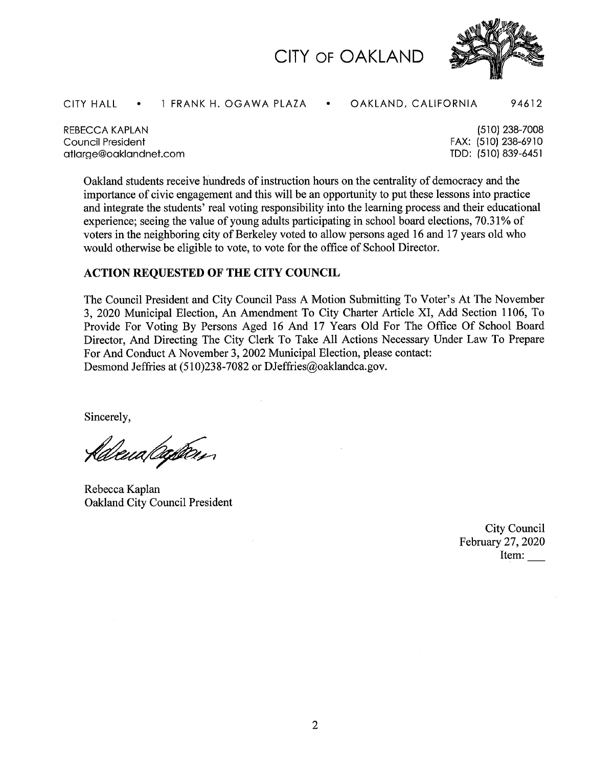



CITY HALL . 1 FRANK H. OGAWA PLAZA . OAKLAND, CALIFORNIA 94612

REBECCA KAPLAN Council President [atlarge@oaklandnet.com](mailto:atlarge@oaklandnet.com)

(510) 238-7008 FAX: (510)238-6910 TDD: (510) 839-6451

Oakland students receive Hundreds ofinstruction hours on the centrality of democracy and the importance of civic engagement and this will be an opportunity to put these lessons into practice and integrate the students' real voting responsibility into the learning process and their educational experience; seeing the value of young adults participating in school board elections, 70.31% of voters in the neighboring city of Berkeley voted to allow persons aged 16 and 17 years old who would otherwise be eligible to vote, to vote for the office of School Director.

### **ACTION REQUESTED OF THE CITY COUNCIL**

The Council President and City Council Pass A Motion Submitting To Voter's At The November 3, 2020 Municipal Election, An Amendment To City Charter Article XI, Add Section 1106, To Provide For Voting By Persons Aged 16 And 17 Years Old For The Office Of School Board Director, And Directing The City Clerk To Take All Actions Necessary Under Law To Prepare For And Conduct A November 3, 2002 Municipal Election, please contact: Desmond Jeffries at (510)238-7082 or [DJeffries@oaklandca.gov](mailto:DJeffries@oaklandca.gov).

Sincerely,

<u> fldevalegten,</u>

Rebecca Kaplan Oakland City Council President

City Council February 27, 2020 Item: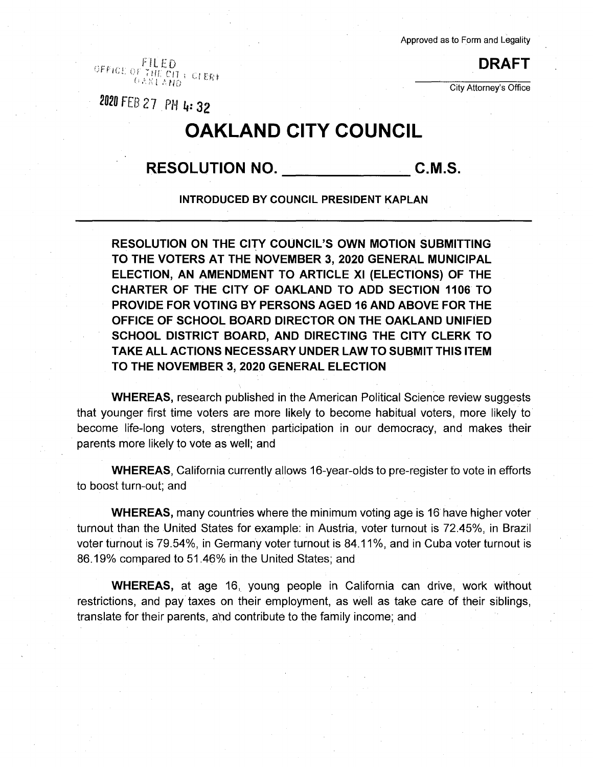Approved as to Form and Legality

City Attorney's Office

OFFICI; OF THE EQ. (1994) **DRAFT**  $\cup$  le $\tilde{\mathcal{E}}$ 

**2I»** FEB **27.** PHI,: **3\***

# **OAKLAND CITY COUNCIL**

**RESOLUTION NO. C.M.S.**

**INTRODUCED BY COUNCIL PRESIDENT KAPLAN**

**RESOLUTION ON THE CITY COUNCIL'S OWN MOTION SUBMITTING TO THE VOTERS AT THE NOVEMBER 3, 2020 GENERAL MUNICIPAL ELECTION, AN AMENDMENT TO ARTICLE XI (ELECTIONS) OF THE CHARTER OF THE CITY OF OAKLAND TO ADD SECTION 1106 TO PROVIDE FOR VOTING BY PERSONS AGED 16 AND ABOVE FOR THE OFFICE OF SCHOOL BOARD DIRECTOR ON THE OAKLAND UNIFIED SCHOOL DISTRICT BOARD, AND DIRECTING THE CITY CLERK TO TAKE ALL ACTIONS NECESSARY UNDER LAW TO SUBMIT THIS ITEM TO THE NOVEMBER 3, 2020 GENERAL ELECTION**

**WHEREAS,** research published in the American Political Science review suggests that younger first time voters are more likely to become habitual voters, more likely to become life-long voters, strengthen participation in our democracy, and makes their parents more likely to vote as well; and

**WHEREAS,** California currently allows 16-year-olds to pre-register to vote in efforts to boost turn-out; and

**WHEREAS,** many countries where the minimum voting age is 16 have higher voter turnout than the United States for example: in Austria, voter turnout is 72.45%, in Brazil voter turnout is 79.54%, in Germany voter turnout is 84.11%, and in Cuba voter turnout is 86.19% compared to 51.46% in the United States; and

**WHEREAS,** at age 16, young people in California can drive, work without restrictions, and pay taxes on their employment, as well as take care of their siblings, translate for their parents, and contribute to the family income; and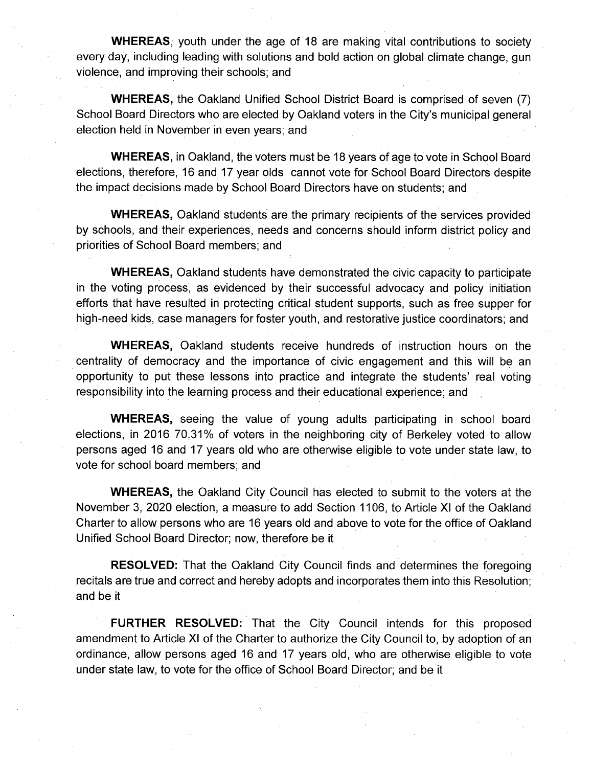**WHEREAS,** youth under the age of 18 are making vital contributions to society every day, including leading with solutions and bold action on global climate change, gun violence, and improving their schools; and

**WHEREAS,** the Oakland Unified School District Board is comprised of seven (7) School Board Directors who are elected by Oakland voters in the City's municipal general election held in November in even years; and

**WHEREAS,** in Oakland, the voters must be 18 years of age to vote in School Board elections, therefore, 16 and 17 year olds cannot vote for School Board Directors despite the impact decisions made by School Board Directors have on students; and

**WHEREAS,** Oakland students are the primary recipients of the services provided by schools, and their experiences, needs and concerns should inform district policy and priorities of School Board members; and

**WHEREAS,** Oakland students have demonstrated the civic capacity to participate in the voting process, as evidenced by their successful advocacy and policy initiation efforts that have resulted in protecting critical student supports, such as free supper for high-need kids, case managers for foster youth, and restorative justice coordinators; and

**WHEREAS,** Oakland students receive hundreds of instruction hours on the centrality of democracy and the importance of civic engagement and this will be an opportunity to put these lessons into practice and integrate the students' real voting responsibility into the learning process and their educational experience; and

**WHEREAS,** seeing the value of young adults participating in school board elections, in 2016 70.31% of voters in the neighboring city of Berkeley voted to allow persons aged 16 and 17 years old who are otherwise eligible to vote under state law, to vote for school board members; and

**WHEREAS,** the Oakland City Council has elected to submit to the voters at the November 3, 2020 election, a measure to add Section 1106, to Article XI of the Oakland Charter to allow persons who are 16 years old and above to vote for the office of Oakland Unified School Board Director; now, therefore be it

**RESOLVED:** That the Oakland City Council finds and determines the foregoing recitals are true and correct and hereby adopts and incorporates them into this Resolution; and be it

**FURTHER RESOLVED:** That the City Council intends for this proposed amendment to Article XI of the Charter to authorize the City Council to, by adoption of an ordinance, allow persons aged 16 and 17 years old, who are otherwise eligible to vote under state law, to vote for the office of School Board Director; and be it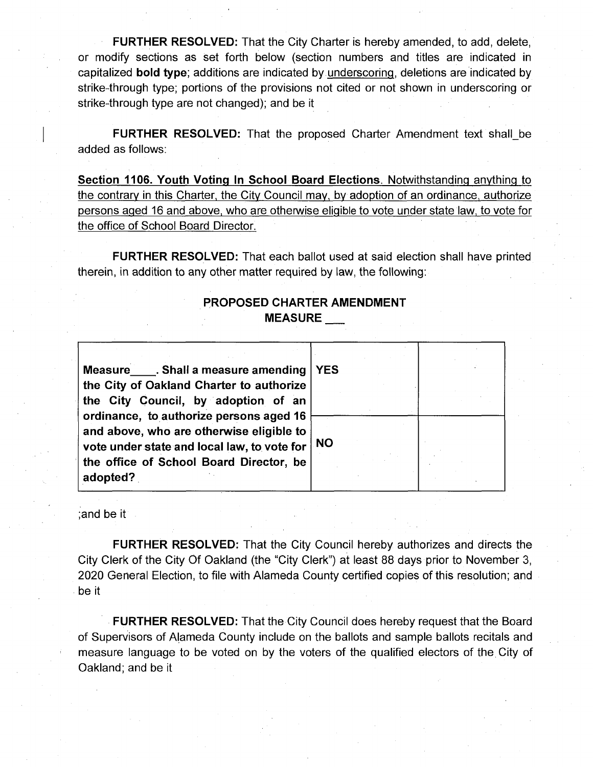**FURTHER RESOLVED:** That the City Charter is hereby amended, to add, delete, or modify sections as set forth below (section numbers and titles are indicated in capitalized **bold type;** additions are indicated by underscoring, deletions are indicated by strike-through type; portions of the provisions not cited or not shown in underscoring or strike-through type are not changed); and be it

**FURTHER RESOLVED:** That the proposed Charter Amendment text shall\_.be added as follows:

**Section 1106. Youth Voting In School Board Elections.** Notwithstanding anything to the contrary in this Charter, the City Council may, by adoption of an ordinance, authorize persons aged 16 and above, who are otherwise eligible to vote under state law, to vote for the office of School Board Director.

**FURTHER RESOLVED:** That each ballot used at said election shall have printed therein, in addition to any other matter required by law, the following:

## **PROPOSED CHARTER AMENDMENT MEASURE**

**Measure**\_\_\_\_**. Shall a measure amending the City of Oakland Charter to authorize the City Council, by adoption of an ordinance, to authorize persons aged 16 and above, who are otherwise eligible to vote under state and local law, to vote for the office of School Board Director, be adopted? YES NO**

;and be it

**FURTHER RESOLVED:** That the City Council hereby authorizes and directs the City Clerk of the City Of Oakland (the "City Clerk") at least 88 days prior to November 3, 2020 General Election, to file with Alameda County certified copies of this resolution; and be it

**FURTHER RESOLVED:** That the City Council does hereby request that the Board of Supervisors of Alameda County include on the ballots and sample ballots recitals and measure language to be voted on by the voters of the qualified electors of the City of Oakland; and be it